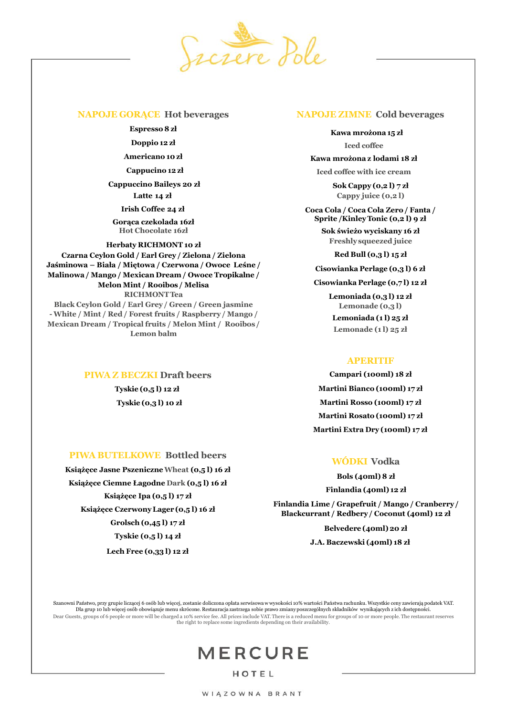

#### **NAPOJE GORĄCE Hot beverages**

**Espresso8 zł**

**Doppio 12 zł**

**Americano 10 zł**

**Cappucino 12 zł**

**Cappuccino Baileys 20 zł Latte 14 zł**

**Irish Coffee 24 zł**

**Gorąca czekolada 16zł Hot Chocolate 16zł**

**Herbaty RICHMONT 10 zł**

**Czarna Ceylon Gold / Earl Grey / Zielona / Zielona Jaśminowa – Biała / Miętowa / Czerwona / Owoce Leśne / Malinowa / Mango / Mexican Dream / Owoce Tropikalne / Melon Mint / Rooibos / Melisa RICHMONTTea Black Ceylon Gold / Earl Grey / Green / Green jasmine - White / Mint / Red / Forest fruits / Raspberry / Mango / Mexican Dream / Tropical fruits / Melon Mint / Rooibos / Lemon balm**

> **PIWA Z BECZKI Draft beers Tyskie (0,5 l) 12 zł Tyskie (0,3 l) 10 zł**

### **PIWA BUTELKOWE Bottled beers**

**Książęce Jasne PszeniczneWheat (0,5 l) 16 zł Książęce Ciemne Łagodne Dark (0,5 l) 16 zł Książęce Ipa (0,5 l) 17 zł Książęce CzerwonyLager (0,5 l) 16 zł Grolsch (0,45 l) 17 zł Tyskie (0,5 l) 14 zł**

**Lech Free (0,33 l) 12 zł**

#### **NAPOJE ZIMNE Cold beverages**

**Kawa mrożona 15 zł Iced coffee**

**Kawa mrożona z lodami 18 zł**

**Iced coffee with ice cream** 

**Sok Cappy (0,2 l) 7 zł Cappy juice (0,2 l)**

**Coca Cola / Coca Cola Zero / Fanta / Sprite /KinleyTonic (0,2 l) 9 zł**

> **Sok świeżo wyciskany 16 zł Freshlysqueezed juice**

> > **Red Bull (0,3 l) 15 zł**

**Cisowianka Perlage (0,3 l) 6 zł**

**Cisowianka Perlage (0,7 l) 12 zł**

**Lemoniada (0,3 l) 12 zł Lemonade (0,3 l) Lemoniada (1 l) 25 zł**

**Lemonade (1 l) 25 zł**

## **APERITIF**

**Campari (100ml) 18 zł Martini Bianco (100ml) 17 zł Martini Rosso (100ml) 17 zł Martini Rosato (100ml) 17 zł Martini Extra Dry (100ml) 17 zł**

## **WÓDKI Vodka**

**Bols (40ml) 8 zł Finlandia (40ml) 12 zł**

**Finlandia Lime / Grapefruit / Mango / Cranberry / Blackcurrant / Redbery / Coconut (40ml) 12 zł**

> **Belvedere (40ml) 20 zł J.A. Baczewski (40ml) 18 zł**

Szanowni Państwo, przy grupie liczącej 6 osób lub więcej, zostanie doliczona opłata serwisowaw wysokości 10% wartości Państwa rachunku. Wszystkie ceny zawierają podatek VAT. Dla grup 10 lub więcej osób obowiązuje menu skrócone. Restauracja zastrzega sobie prawo zmiany poszczególnych składników wynikających z ich dostępności. Dear Guests, groups of 6 people or more will be charged a 10% service fee. All prices include VAT. There is a reduced menu for groups of 10 or more people. The restaurant reserves the right to replace some ingredients depending on their availability.

# **MERCURE**

HOTEL

WIĄZOWNA BRANT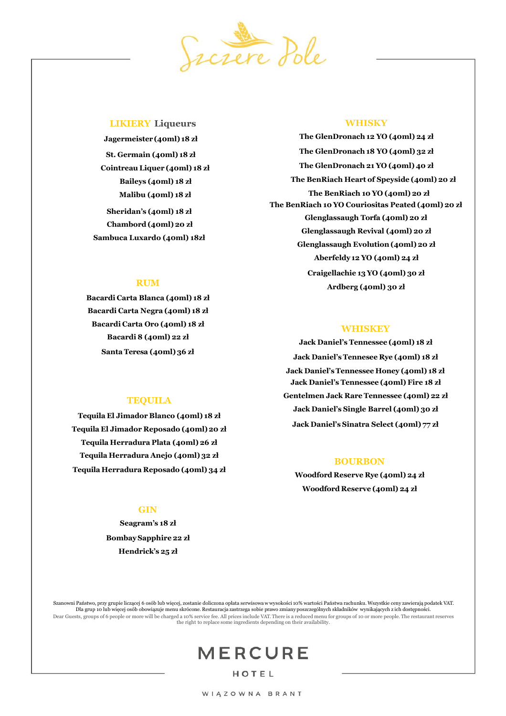

#### **LIKIERY Liqueurs**

**Jagermeister (40ml) 18 zł St. Germain (40ml) 18 zł Cointreau Liquer (40ml) 18 zł Baileys (40ml) 18 zł Malibu (40ml) 18 zł Sheridan's (40ml) 18 zł Chambord (40ml) 20 zł Sambuca Luxardo (40ml) 18zł**

#### **RUM**

**Bacardi Carta Blanca (40ml) 18 zł Bacardi Carta Negra (40ml) 18 zł Bacardi Carta Oro (40ml) 18 zł Bacardi 8 (40ml) 22 zł Santa Teresa (40ml) 36 zł**

#### **TEQUILA**

**Tequila El Jimador Blanco (40ml) 18 zł Tequila El Jimador Reposado (40ml) 20 zł Tequila Herradura Plata (40ml) 26 zł Tequila Herradura Anejo (40ml) 32 zł Tequila Herradura Reposado (40ml) 34 zł**

## **GIN**

**Seagram's 18 zł BombaySapphire 22 zł Hendrick's 25 zł**

### **WHISKY**

**The GlenDronach 12 YO (40ml) 24 zł The GlenDronach 18 YO (40ml) 32 zł The GlenDronach 21 YO (40ml) 40 zł The BenRiach Heart of Speyside (40ml) 20 zł The BenRiach 10 YO (40ml) 20 zł The BenRiach 10 YO Couriositas Peated (40ml) 20 zł Glenglassaugh Torfa (40ml) 20 zł Glenglassaugh Revival (40ml) 20 zł Glenglassaugh Evolution (40ml) 20 zł Aberfeldy 12 YO (40ml) 24 zł Craigellachie 13 YO (40ml) 30 zł Ardberg (40ml) 30 zł**

#### **WHISKEY**

**Jack Daniel's Tennessee (40ml) 18 zł Jack Daniel's Tennesee Rye (40ml) 18 zł Jack Daniel's Tennessee Honey (40ml) 18 zł Jack Daniel's Tennessee (40ml) Fire 18 zł Gentelmen Jack Rare Tennessee (40ml) 22 zł Jack Daniel's Single Barrel (40ml) 30 zł Jack Daniel's Sinatra Select (40ml) 77 zł**

#### **BOURBON**

**Woodford Reserve Rye (40ml) 24 zł Woodford Reserve (40ml) 24 zł**

Szanowni Państwo, przy grupie liczącej 6 osób lub więcej, zostanie doliczona opłata serwisowaw wysokości 10% wartości Państwa rachunku. Wszystkie ceny zawierają podatek VAT. Dla grup 10 lub więcej osób obowiązuje menu skrócone. Restauracja zastrzega sobie prawo zmiany poszczególnych składników wynikających z ich dostępności. Dear Guests, groups of 6 people or more will be charged a 10% service fee. All prices include VAT. There is a reduced menu for groups of 10 or more people. The restaurant reserves the right to replace some ingredients depending on their availability.

## **MERCURE**

HOTEL

WIĄZOWNA BRANT